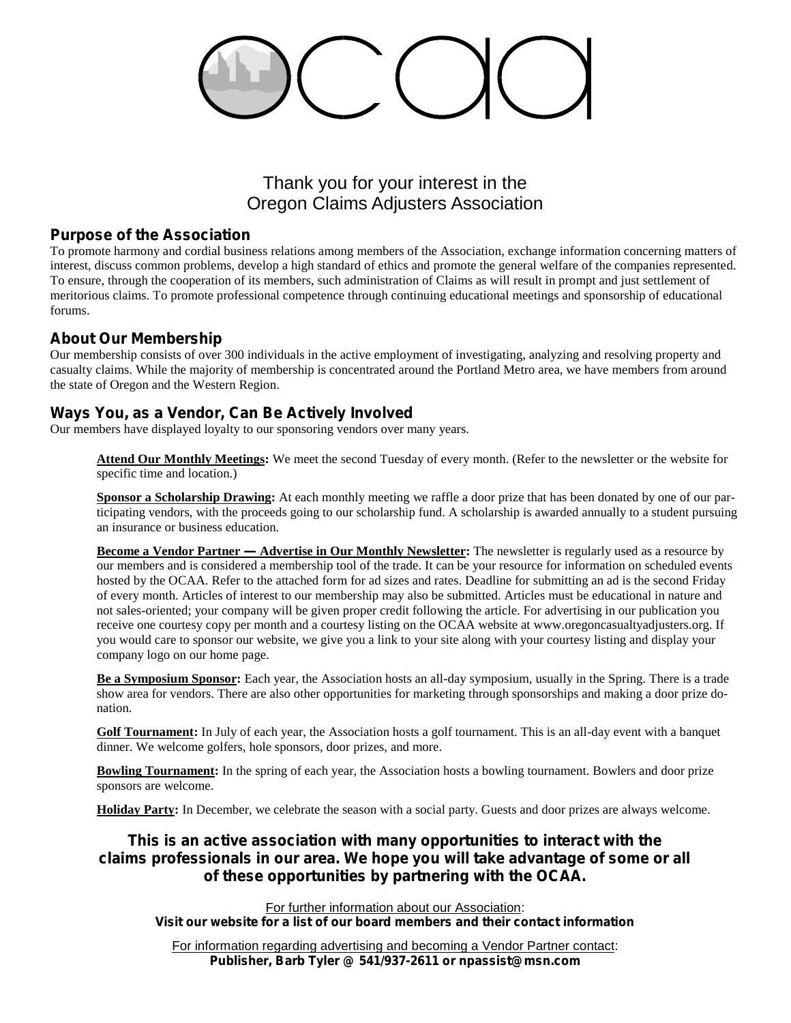# Thank you for your interest in the Oregon Claims Adjusters Association

#### *Purpose of the Association*

To promote harmony and cordial business relations among members of the Association, exchange information concerning matters of interest, discuss common problems, develop a high standard of ethics and promote the general welfare of the companies represented. To ensure, through the cooperation of its members, such administration of Claims as will result in prompt and just settlement of meritorious claims. To promote professional competence through continuing educational meetings and sponsorship of educational forums.

### *About Our Membership*

Our membership consists of over 300 individuals in the active employment of investigating, analyzing and resolving property and casualty claims. While the majority of membership is concentrated around the Portland Metro area, we have members from around the state of Oregon and the Western Region.

#### *Ways You, as a Vendor, Can Be Actively Involved*

Our members have displayed loyalty to our sponsoring vendors over many years.

**Attend Our Monthly Meetings:** We meet the second Tuesday of every month. (Refer to the newsletter or the website for specific time and location.)

**Sponsor a Scholarship Drawing:** At each monthly meeting we raffle a door prize that has been donated by one of our participating vendors, with the proceeds going to our scholarship fund. A scholarship is awarded annually to a student pursuing an insurance or business education.

**Become a Vendor Partner — Advertise in Our Monthly Newsletter:** The newsletter is regularly used as a resource by our members and is considered a membership tool of the trade. It can be your resource for information on scheduled events hosted by the OCAA. Refer to the attached form for ad sizes and rates. Deadline for submitting an ad is the second Friday of every month. Articles of interest to our membership may also be submitted. Articles must be educational in nature and not sales-oriented; your company will be given proper credit following the article. For advertising in our publication you receive one courtesy copy per month and a courtesy listing on the OCAA website at www.oregoncasualtyadjusters.org. If you would care to sponsor our website, we give you a link to your site along with your courtesy listing and display your company logo on our home page.

**Be a Symposium Sponsor:** Each year, the Association hosts an all-day symposium, usually in the Spring. There is a trade show area for vendors. There are also other opportunities for marketing through sponsorships and making a door prize donation.

**Golf Tournament:** In July of each year, the Association hosts a golf tournament. This is an all-day event with a banquet dinner. We welcome golfers, hole sponsors, door prizes, and more.

**Bowling Tournament:** In the spring of each year, the Association hosts a bowling tournament. Bowlers and door prize sponsors are welcome.

**Holiday Party:** In December, we celebrate the season with a social party. Guests and door prizes are always welcome.

## **This is an active association with many opportunities to interact with the claims professionals in our area. We hope you will take advantage of some or all of these opportunities by partnering with the OCAA.**

For further information about our Association: **Visit our website for a list of our board members and their contact information**

For information regarding advertising and becoming a Vendor Partner contact: **Publisher, Barb Tyler @ 541/937-2611 or npassist@msn.com**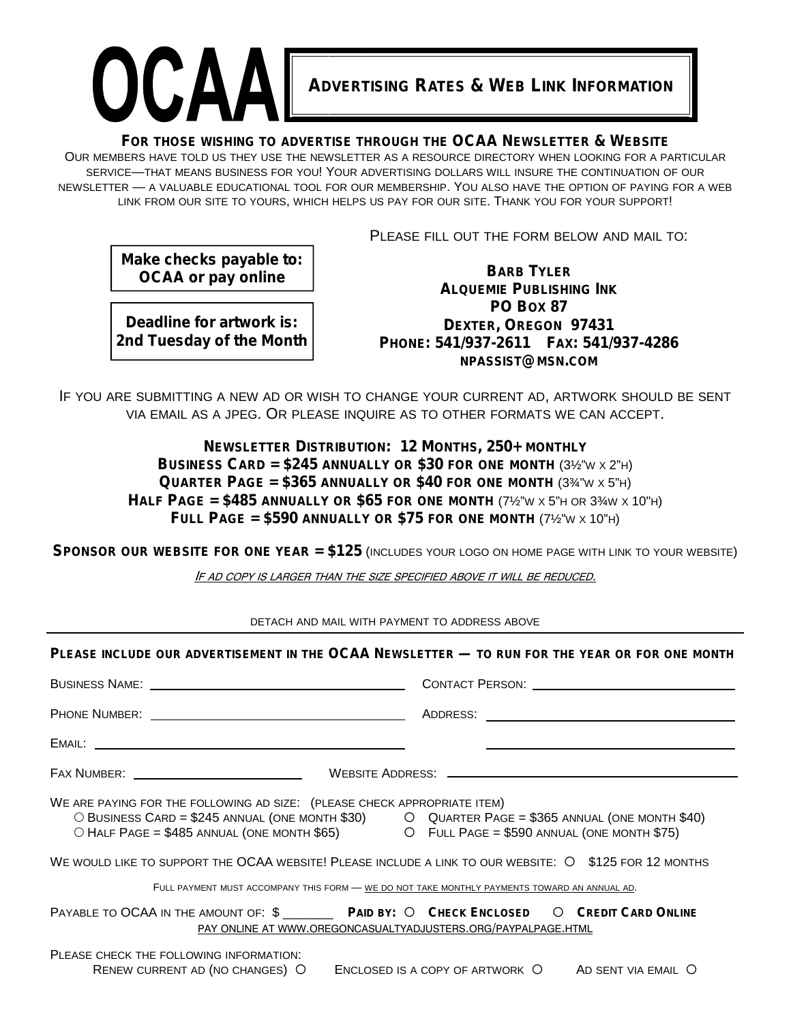

#### **FOR THOSE WISHING TO ADVERTISE THROUGH THE OCAA NEWSLETTER & WEBSITE**

OUR MEMBERS HAVE TOLD US THEY USE THE NEWSLETTER AS A RESOURCE DIRECTORY WHEN LOOKING FOR A PARTICULAR SERVICE—THAT MEANS BUSINESS FOR YOU! YOUR ADVERTISING DOLLARS WILL INSURE THE CONTINUATION OF OUR NEWSLETTER — A VALUABLE EDUCATIONAL TOOL FOR OUR MEMBERSHIP. YOU ALSO HAVE THE OPTION OF PAYING FOR A WEB LINK FROM OUR SITE TO YOURS, WHICH HELPS US PAY FOR OUR SITE. THANK YOU FOR YOUR SUPPORT!

PLEASE FILL OUT THE FORM BELOW AND MAIL TO:

**Make checks payable to: OCAA or pay online**

**Deadline for artwork is: 2nd Tuesday of the Month**

**BARB TYLER ALQUEMIE PUBLISHING INK PO BOX 87 DEXTER, OREGON 97431 PHONE: 541/937-2611 FAX: 541/937-4286 NPASSIST@MSN.COM**

IF YOU ARE SUBMITTING A NEW AD OR WISH TO CHANGE YOUR CURRENT AD, ARTWORK SHOULD BE SENT VIA EMAIL AS A JPEG. OR PLEASE INQUIRE AS TO OTHER FORMATS WE CAN ACCEPT.

> **NEWSLETTER DISTRIBUTION: 12 MONTHS, 250+ MONTHLY BUSINESS CARD = \$245 ANNUALLY OR \$30 FOR ONE MONTH** (3½"<sup>W</sup> <sup>X</sup> 2"H) **QUARTER PAGE = \$365 ANNUALLY OR \$40 FOR ONE MONTH** (3¾"<sup>W</sup> <sup>X</sup> 5"H) **HALF PAGE = \$485** ANNUALLY OR \$65 FOR ONE MONTH  $(7\frac{1}{2}\text{W} \times 5\text{W})$  OR  $3\frac{3}{4}\text{W} \times 10\text{H}$ **FULL PAGE = \$590 ANNUALLY OR \$75 FOR ONE MONTH** (7½"<sup>W</sup> <sup>X</sup> 10"H)

**SPONSOR OUR WEBSITE FOR ONE YEAR = \$125** (INCLUDES YOUR LOGO ON HOME PAGE WITH LINK TO YOUR WEBSITE)

*IF AD COPY IS LARGER THAN THE SIZE SPECIFIED ABOVE IT WILL BE REDUCED.*

DETACH AND MAIL WITH PAYMENT TO ADDRESS ABOVE

| PLEASE INCLUDE OUR ADVERTISEMENT IN THE OCAA NEWSLETTER — TO RUN FOR THE YEAR OR FOR ONE MONTH                                                                                                                                                                        |  |
|-----------------------------------------------------------------------------------------------------------------------------------------------------------------------------------------------------------------------------------------------------------------------|--|
|                                                                                                                                                                                                                                                                       |  |
|                                                                                                                                                                                                                                                                       |  |
|                                                                                                                                                                                                                                                                       |  |
|                                                                                                                                                                                                                                                                       |  |
| WE ARE PAYING FOR THE FOLLOWING AD SIZE: (PLEASE CHECK APPROPRIATE ITEM)<br>O BUSINESS CARD = \$245 ANNUAL (ONE MONTH \$30) O QUARTER PAGE = \$365 ANNUAL (ONE MONTH \$40)<br>O HALF PAGE = \$485 ANNUAL (ONE MONTH \$65) O FULL PAGE = \$590 ANNUAL (ONE MONTH \$75) |  |
| WE WOULD LIKE TO SUPPORT THE OCAA WEBSITE! PLEASE INCLUDE A LINK TO OUR WEBSITE: O \$125 FOR 12 MONTHS                                                                                                                                                                |  |
| FULL PAYMENT MUST ACCOMPANY THIS FORM - WE DO NOT TAKE MONTHLY PAYMENTS TOWARD AN ANNUAL AD.                                                                                                                                                                          |  |
| PAYABLE TO OCAA IN THE AMOUNT OF: \$ PAID BY: O CHECK ENCLOSED O CREDIT CARD ONLINE<br>PAY ONLINE AT WWW.OREGONCASUALTYADJUSTERS.ORG/PAYPALPAGE.HTML                                                                                                                  |  |
| PLEASE CHECK THE FOLLOWING INFORMATION:<br>RENEW CURRENT AD (NO CHANGES) O ENCLOSED IS A COPY OF ARTWORK O AD SENT VIA EMAIL O                                                                                                                                        |  |